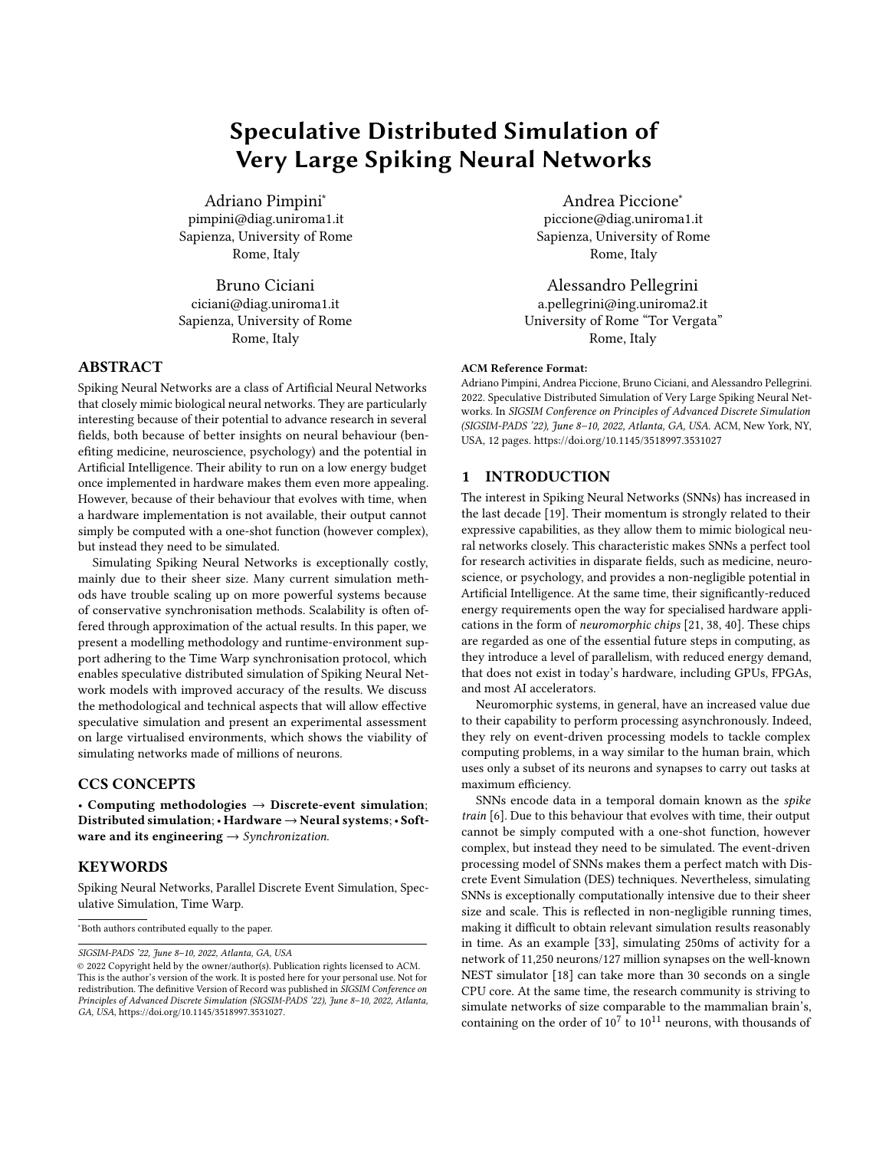# Speculative Distributed Simulation of Very Large Spiking Neural Networks

Adriano Pimpini<sup>∗</sup> pimpini@diag.uniroma1.it Sapienza, University of Rome Rome, Italy

Bruno Ciciani ciciani@diag.uniroma1.it Sapienza, University of Rome Rome, Italy

# ABSTRACT

Spiking Neural Networks are a class of Artificial Neural Networks that closely mimic biological neural networks. They are particularly interesting because of their potential to advance research in several fields, both because of better insights on neural behaviour (benefiting medicine, neuroscience, psychology) and the potential in Artificial Intelligence. Their ability to run on a low energy budget once implemented in hardware makes them even more appealing. However, because of their behaviour that evolves with time, when a hardware implementation is not available, their output cannot simply be computed with a one-shot function (however complex), but instead they need to be simulated.

Simulating Spiking Neural Networks is exceptionally costly, mainly due to their sheer size. Many current simulation methods have trouble scaling up on more powerful systems because of conservative synchronisation methods. Scalability is often offered through approximation of the actual results. In this paper, we present a modelling methodology and runtime-environment support adhering to the Time Warp synchronisation protocol, which enables speculative distributed simulation of Spiking Neural Network models with improved accuracy of the results. We discuss the methodological and technical aspects that will allow effective speculative simulation and present an experimental assessment on large virtualised environments, which shows the viability of simulating networks made of millions of neurons.

#### CCS CONCEPTS

• Computing methodologies  $\rightarrow$  Discrete-event simulation; Distributed simulation;• Hardware → Neural systems;• Software and its engineering  $\rightarrow$  Synchronization.

#### KEYWORDS

Spiking Neural Networks, Parallel Discrete Event Simulation, Speculative Simulation, Time Warp.

<sup>∗</sup>Both authors contributed equally to the paper.

SIGSIM-PADS '22, June 8–10, 2022, Atlanta, GA, USA

Andrea Piccione<sup>∗</sup> piccione@diag.uniroma1.it Sapienza, University of Rome Rome, Italy

Alessandro Pellegrini a.pellegrini@ing.uniroma2.it University of Rome "Tor Vergata" Rome, Italy

#### ACM Reference Format:

Adriano Pimpini, Andrea Piccione, Bruno Ciciani, and Alessandro Pellegrini. 2022. Speculative Distributed Simulation of Very Large Spiking Neural Networks. In SIGSIM Conference on Principles of Advanced Discrete Simulation (SIGSIM-PADS '22), June 8–10, 2022, Atlanta, GA, USA. ACM, New York, NY, USA, [12](#page-11-0) pages.<https://doi.org/10.1145/3518997.3531027>

## 1 INTRODUCTION

The interest in Spiking Neural Networks (SNNs) has increased in the last decade [\[19\]](#page-11-1). Their momentum is strongly related to their expressive capabilities, as they allow them to mimic biological neural networks closely. This characteristic makes SNNs a perfect tool for research activities in disparate fields, such as medicine, neuroscience, or psychology, and provides a non-negligible potential in Artificial Intelligence. At the same time, their significantly-reduced energy requirements open the way for specialised hardware applications in the form of neuromorphic chips [\[21,](#page-11-2) [38,](#page-11-3) [40\]](#page-11-4). These chips are regarded as one of the essential future steps in computing, as they introduce a level of parallelism, with reduced energy demand, that does not exist in today's hardware, including GPUs, FPGAs, and most AI accelerators.

Neuromorphic systems, in general, have an increased value due to their capability to perform processing asynchronously. Indeed, they rely on event-driven processing models to tackle complex computing problems, in a way similar to the human brain, which uses only a subset of its neurons and synapses to carry out tasks at maximum efficiency.

SNNs encode data in a temporal domain known as the spike train [\[6\]](#page-10-0). Due to this behaviour that evolves with time, their output cannot be simply computed with a one-shot function, however complex, but instead they need to be simulated. The event-driven processing model of SNNs makes them a perfect match with Discrete Event Simulation (DES) techniques. Nevertheless, simulating SNNs is exceptionally computationally intensive due to their sheer size and scale. This is reflected in non-negligible running times, making it difficult to obtain relevant simulation results reasonably in time. As an example [\[33\]](#page-11-5), simulating 250ms of activity for a network of 11,250 neurons/127 million synapses on the well-known NEST simulator [\[18\]](#page-11-6) can take more than 30 seconds on a single CPU core. At the same time, the research community is striving to simulate networks of size comparable to the mammalian brain's, containing on the order of  $10^7$  to  $10^{11}$  neurons, with thousands of

<sup>©</sup> 2022 Copyright held by the owner/author(s). Publication rights licensed to ACM. This is the author's version of the work. It is posted here for your personal use. Not for redistribution. The definitive Version of Record was published in SIGSIM Conference on Principles of Advanced Discrete Simulation (SIGSIM-PADS '22), June 8–10, 2022, Atlanta, GA, USA, [https://doi.org/10.1145/3518997.3531027.](https://doi.org/10.1145/3518997.3531027)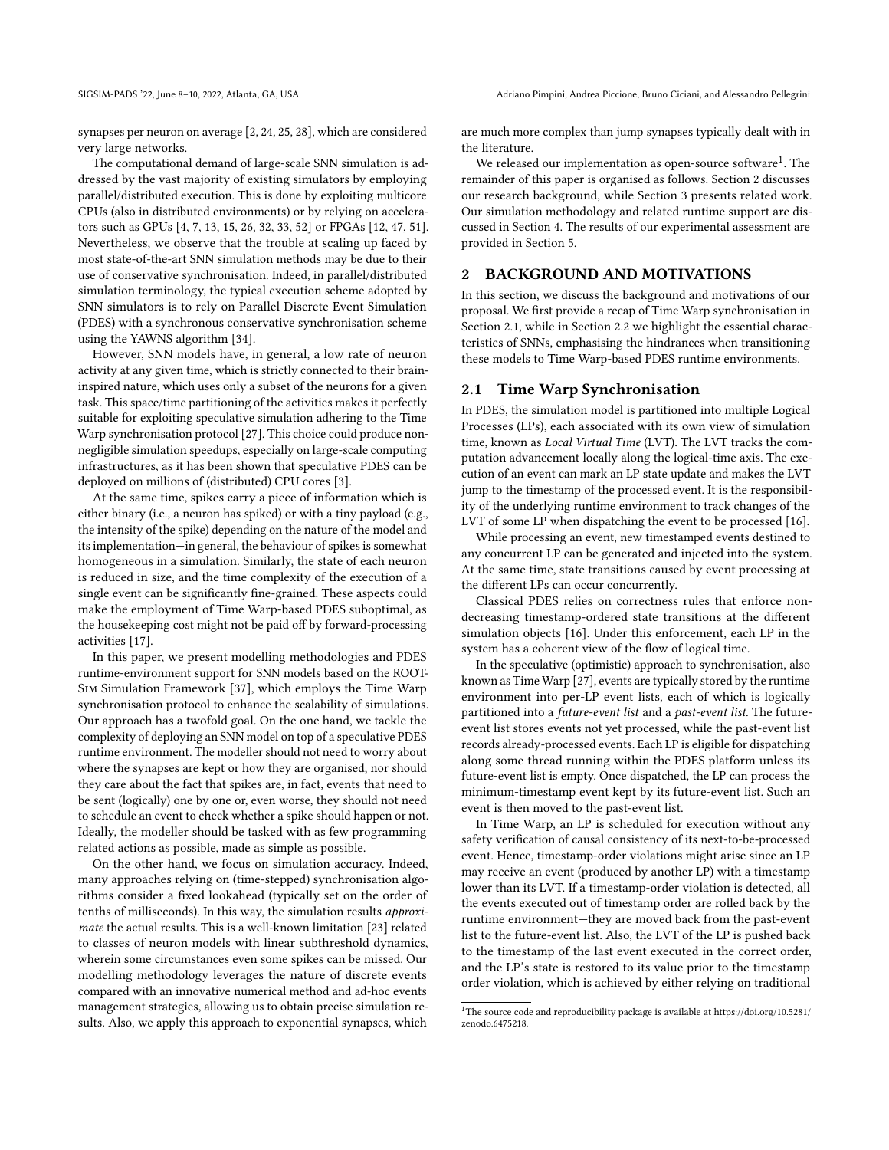synapses per neuron on average [\[2,](#page-10-1) [24,](#page-11-7) [25,](#page-11-8) [28\]](#page-11-9), which are considered very large networks.

The computational demand of large-scale SNN simulation is addressed by the vast majority of existing simulators by employing parallel/distributed execution. This is done by exploiting multicore CPUs (also in distributed environments) or by relying on accelerators such as GPUs [\[4,](#page-10-2) [7,](#page-10-3) [13,](#page-10-4) [15,](#page-11-10) [26,](#page-11-11) [32,](#page-11-12) [33,](#page-11-5) [52\]](#page-11-13) or FPGAs [\[12,](#page-10-5) [47,](#page-11-14) [51\]](#page-11-15). Nevertheless, we observe that the trouble at scaling up faced by most state-of-the-art SNN simulation methods may be due to their use of conservative synchronisation. Indeed, in parallel/distributed simulation terminology, the typical execution scheme adopted by SNN simulators is to rely on Parallel Discrete Event Simulation (PDES) with a synchronous conservative synchronisation scheme using the YAWNS algorithm [\[34\]](#page-11-16).

However, SNN models have, in general, a low rate of neuron activity at any given time, which is strictly connected to their braininspired nature, which uses only a subset of the neurons for a given task. This space/time partitioning of the activities makes it perfectly suitable for exploiting speculative simulation adhering to the Time Warp synchronisation protocol [\[27\]](#page-11-17). This choice could produce nonnegligible simulation speedups, especially on large-scale computing infrastructures, as it has been shown that speculative PDES can be deployed on millions of (distributed) CPU cores [\[3\]](#page-10-6).

At the same time, spikes carry a piece of information which is either binary (i.e., a neuron has spiked) or with a tiny payload (e.g., the intensity of the spike) depending on the nature of the model and its implementation—in general, the behaviour of spikes is somewhat homogeneous in a simulation. Similarly, the state of each neuron is reduced in size, and the time complexity of the execution of a single event can be significantly fine-grained. These aspects could make the employment of Time Warp-based PDES suboptimal, as the housekeeping cost might not be paid off by forward-processing activities [\[17\]](#page-11-18).

In this paper, we present modelling methodologies and PDES runtime-environment support for SNN models based on the ROOT-Sim Simulation Framework [\[37\]](#page-11-19), which employs the Time Warp synchronisation protocol to enhance the scalability of simulations. Our approach has a twofold goal. On the one hand, we tackle the complexity of deploying an SNN model on top of a speculative PDES runtime environment. The modeller should not need to worry about where the synapses are kept or how they are organised, nor should they care about the fact that spikes are, in fact, events that need to be sent (logically) one by one or, even worse, they should not need to schedule an event to check whether a spike should happen or not. Ideally, the modeller should be tasked with as few programming related actions as possible, made as simple as possible.

On the other hand, we focus on simulation accuracy. Indeed, many approaches relying on (time-stepped) synchronisation algorithms consider a fixed lookahead (typically set on the order of tenths of milliseconds). In this way, the simulation results approximate the actual results. This is a well-known limitation [\[23\]](#page-11-20) related to classes of neuron models with linear subthreshold dynamics, wherein some circumstances even some spikes can be missed. Our modelling methodology leverages the nature of discrete events compared with an innovative numerical method and ad-hoc events management strategies, allowing us to obtain precise simulation results. Also, we apply this approach to exponential synapses, which

are much more complex than jump synapses typically dealt with in the literature.

We released our implementation as open-source software $^1$  $^1$ . The remainder of this paper is organised as follows. Section [2](#page-1-1) discusses our research background, while Section [3](#page-2-0) presents related work. Our simulation methodology and related runtime support are discussed in Section [4.](#page-3-0) The results of our experimental assessment are provided in Section [5.](#page-6-0)

## <span id="page-1-1"></span>2 BACKGROUND AND MOTIVATIONS

In this section, we discuss the background and motivations of our proposal. We first provide a recap of Time Warp synchronisation in Section [2.1,](#page-1-2) while in Section [2.2](#page-2-1) we highlight the essential characteristics of SNNs, emphasising the hindrances when transitioning these models to Time Warp-based PDES runtime environments.

#### <span id="page-1-2"></span>2.1 Time Warp Synchronisation

In PDES, the simulation model is partitioned into multiple Logical Processes (LPs), each associated with its own view of simulation time, known as Local Virtual Time (LVT). The LVT tracks the computation advancement locally along the logical-time axis. The execution of an event can mark an LP state update and makes the LVT jump to the timestamp of the processed event. It is the responsibility of the underlying runtime environment to track changes of the LVT of some LP when dispatching the event to be processed [\[16\]](#page-11-21).

While processing an event, new timestamped events destined to any concurrent LP can be generated and injected into the system. At the same time, state transitions caused by event processing at the different LPs can occur concurrently.

Classical PDES relies on correctness rules that enforce nondecreasing timestamp-ordered state transitions at the different simulation objects [\[16\]](#page-11-21). Under this enforcement, each LP in the system has a coherent view of the flow of logical time.

In the speculative (optimistic) approach to synchronisation, also known as Time Warp [\[27\]](#page-11-17), events are typically stored by the runtime environment into per-LP event lists, each of which is logically partitioned into a future-event list and a past-event list. The futureevent list stores events not yet processed, while the past-event list records already-processed events. Each LP is eligible for dispatching along some thread running within the PDES platform unless its future-event list is empty. Once dispatched, the LP can process the minimum-timestamp event kept by its future-event list. Such an event is then moved to the past-event list.

In Time Warp, an LP is scheduled for execution without any safety verification of causal consistency of its next-to-be-processed event. Hence, timestamp-order violations might arise since an LP may receive an event (produced by another LP) with a timestamp lower than its LVT. If a timestamp-order violation is detected, all the events executed out of timestamp order are rolled back by the runtime environment—they are moved back from the past-event list to the future-event list. Also, the LVT of the LP is pushed back to the timestamp of the last event executed in the correct order, and the LP's state is restored to its value prior to the timestamp order violation, which is achieved by either relying on traditional

<span id="page-1-0"></span> $^{\rm 1}{\rm The}$  source code and reproducibility package is available at [https://doi.org/10.5281/](https://doi.org/10.5281/zenodo.6475218) [zenodo.6475218.](https://doi.org/10.5281/zenodo.6475218)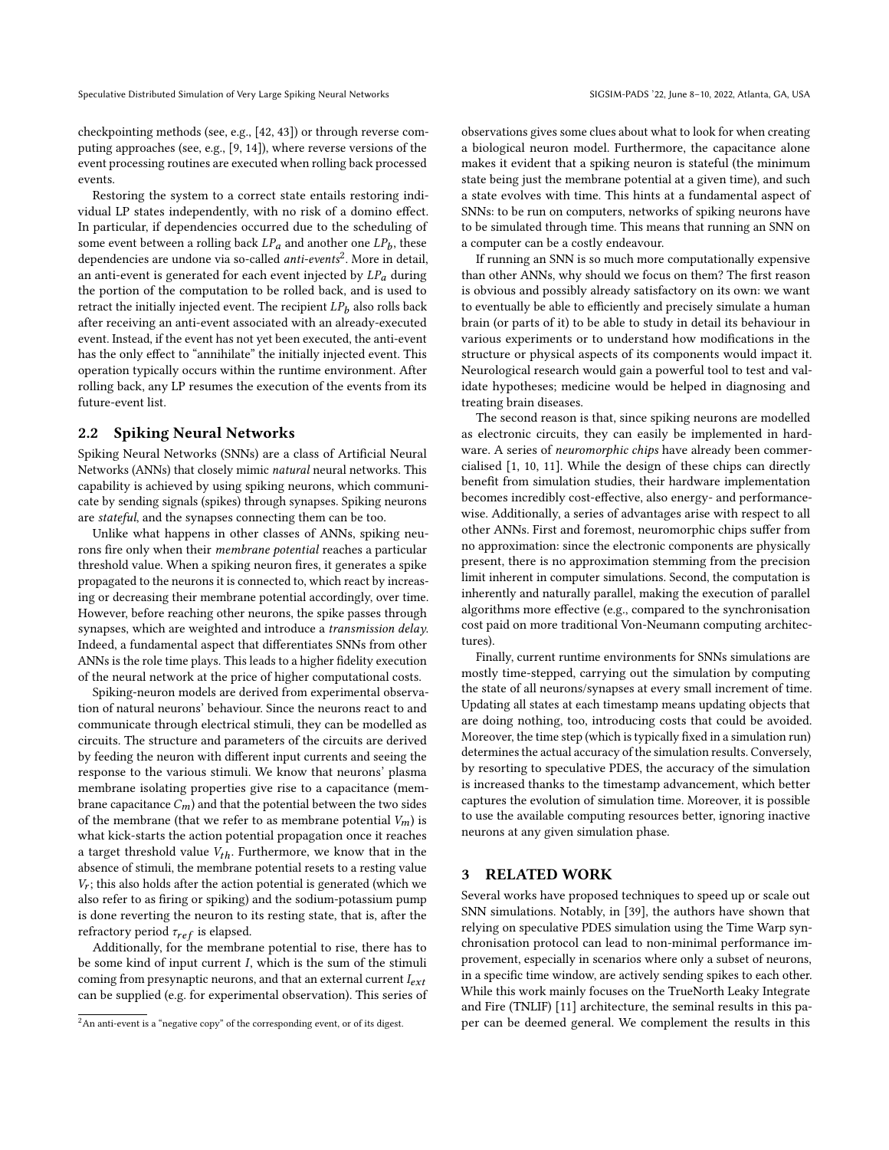checkpointing methods (see, e.g., [\[42,](#page-11-22) [43\]](#page-11-23)) or through reverse computing approaches (see, e.g., [\[9,](#page-10-7) [14\]](#page-10-8)), where reverse versions of the event processing routines are executed when rolling back processed events.

Restoring the system to a correct state entails restoring individual LP states independently, with no risk of a domino effect. In particular, if dependencies occurred due to the scheduling of some event between a rolling back  $LP_a$  and another one  $LP_b$ , these dependencies are undone via so-called *anti-events<sup>[2](#page-2-2)</sup>*. More in detail, an anti-event is generated for each event injected by  $LP_a$  during the portion of the computation to be rolled back, and is used to retract the initially injected event. The recipient  $LP<sub>b</sub>$  also rolls back after receiving an anti-event associated with an already-executed event. Instead, if the event has not yet been executed, the anti-event has the only effect to "annihilate" the initially injected event. This operation typically occurs within the runtime environment. After rolling back, any LP resumes the execution of the events from its future-event list.

#### <span id="page-2-1"></span>2.2 Spiking Neural Networks

Spiking Neural Networks (SNNs) are a class of Artificial Neural Networks (ANNs) that closely mimic natural neural networks. This capability is achieved by using spiking neurons, which communicate by sending signals (spikes) through synapses. Spiking neurons are stateful, and the synapses connecting them can be too.

Unlike what happens in other classes of ANNs, spiking neurons fire only when their membrane potential reaches a particular threshold value. When a spiking neuron fires, it generates a spike propagated to the neurons it is connected to, which react by increasing or decreasing their membrane potential accordingly, over time. However, before reaching other neurons, the spike passes through synapses, which are weighted and introduce a transmission delay. Indeed, a fundamental aspect that differentiates SNNs from other ANNs is the role time plays. This leads to a higher fidelity execution of the neural network at the price of higher computational costs.

Spiking-neuron models are derived from experimental observation of natural neurons' behaviour. Since the neurons react to and communicate through electrical stimuli, they can be modelled as circuits. The structure and parameters of the circuits are derived by feeding the neuron with different input currents and seeing the response to the various stimuli. We know that neurons' plasma membrane isolating properties give rise to a capacitance (membrane capacitance  $C_m$ ) and that the potential between the two sides of the membrane (that we refer to as membrane potential  $V_m$ ) is what kick-starts the action potential propagation once it reaches a target threshold value  $V_{th}$ . Furthermore, we know that in the absence of stimuli, the membrane potential resets to a resting value  $V_r$ ; this also holds after the action potential is generated (which we also refer to as firing or spiking) and the sodium-potassium pump is done reverting the neuron to its resting state, that is, after the refractory period  $\tau_{ref}$  is elapsed.

Additionally, for the membrane potential to rise, there has to be some kind of input current  $I$ , which is the sum of the stimuli coming from presynaptic neurons, and that an external current  $I_{ext}$ can be supplied (e.g. for experimental observation). This series of observations gives some clues about what to look for when creating a biological neuron model. Furthermore, the capacitance alone makes it evident that a spiking neuron is stateful (the minimum state being just the membrane potential at a given time), and such a state evolves with time. This hints at a fundamental aspect of SNNs: to be run on computers, networks of spiking neurons have to be simulated through time. This means that running an SNN on a computer can be a costly endeavour.

If running an SNN is so much more computationally expensive than other ANNs, why should we focus on them? The first reason is obvious and possibly already satisfactory on its own: we want to eventually be able to efficiently and precisely simulate a human brain (or parts of it) to be able to study in detail its behaviour in various experiments or to understand how modifications in the structure or physical aspects of its components would impact it. Neurological research would gain a powerful tool to test and validate hypotheses; medicine would be helped in diagnosing and treating brain diseases.

The second reason is that, since spiking neurons are modelled as electronic circuits, they can easily be implemented in hardware. A series of neuromorphic chips have already been commercialised [\[1,](#page-10-9) [10,](#page-10-10) [11\]](#page-10-11). While the design of these chips can directly benefit from simulation studies, their hardware implementation becomes incredibly cost-effective, also energy- and performancewise. Additionally, a series of advantages arise with respect to all other ANNs. First and foremost, neuromorphic chips suffer from no approximation: since the electronic components are physically present, there is no approximation stemming from the precision limit inherent in computer simulations. Second, the computation is inherently and naturally parallel, making the execution of parallel algorithms more effective (e.g., compared to the synchronisation cost paid on more traditional Von-Neumann computing architectures).

Finally, current runtime environments for SNNs simulations are mostly time-stepped, carrying out the simulation by computing the state of all neurons/synapses at every small increment of time. Updating all states at each timestamp means updating objects that are doing nothing, too, introducing costs that could be avoided. Moreover, the time step (which is typically fixed in a simulation run) determines the actual accuracy of the simulation results. Conversely, by resorting to speculative PDES, the accuracy of the simulation is increased thanks to the timestamp advancement, which better captures the evolution of simulation time. Moreover, it is possible to use the available computing resources better, ignoring inactive neurons at any given simulation phase.

## <span id="page-2-0"></span>3 RELATED WORK

Several works have proposed techniques to speed up or scale out SNN simulations. Notably, in [\[39\]](#page-11-24), the authors have shown that relying on speculative PDES simulation using the Time Warp synchronisation protocol can lead to non-minimal performance improvement, especially in scenarios where only a subset of neurons, in a specific time window, are actively sending spikes to each other. While this work mainly focuses on the TrueNorth Leaky Integrate and Fire (TNLIF) [\[11\]](#page-10-11) architecture, the seminal results in this paper can be deemed general. We complement the results in this

<span id="page-2-2"></span><sup>&</sup>lt;sup>2</sup>An anti-event is a "negative copy" of the corresponding event, or of its digest.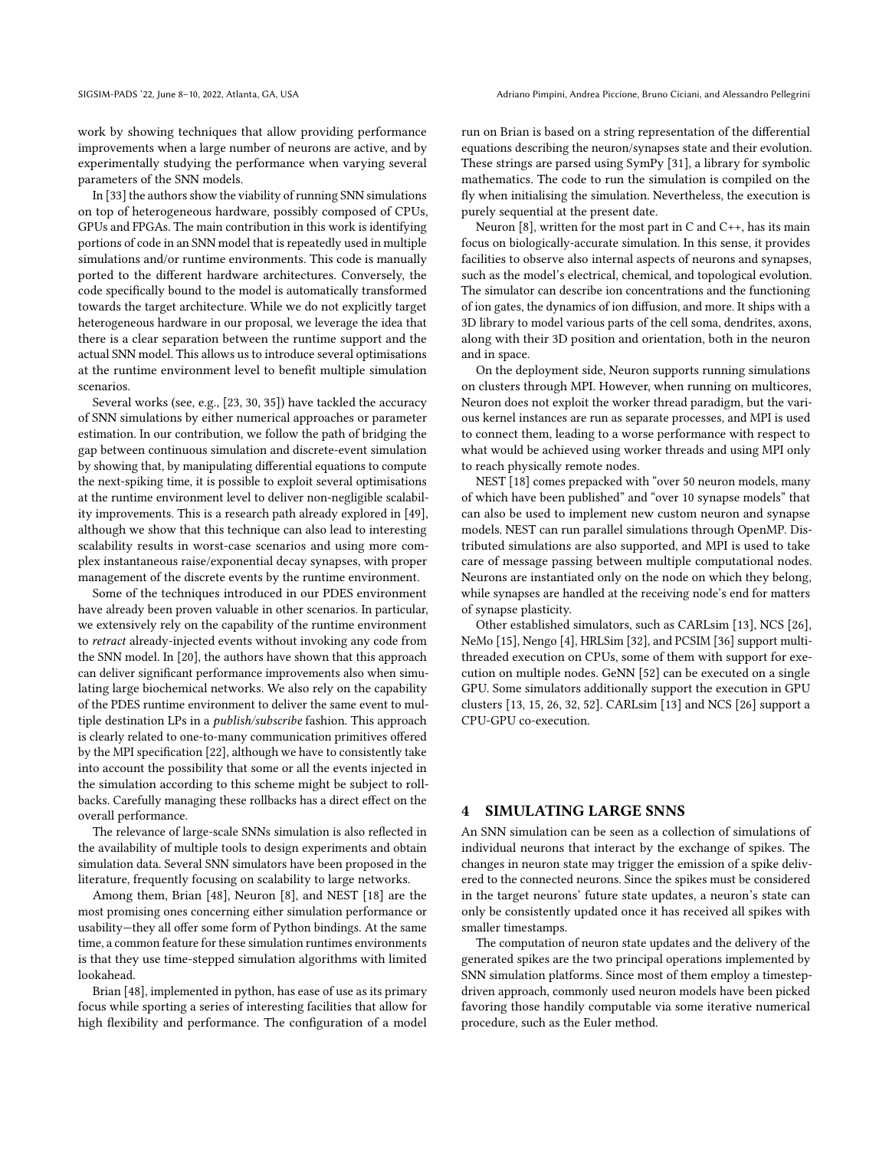work by showing techniques that allow providing performance improvements when a large number of neurons are active, and by experimentally studying the performance when varying several parameters of the SNN models.

In [\[33\]](#page-11-5) the authors show the viability of running SNN simulations on top of heterogeneous hardware, possibly composed of CPUs, GPUs and FPGAs. The main contribution in this work is identifying portions of code in an SNN model that is repeatedly used in multiple simulations and/or runtime environments. This code is manually ported to the different hardware architectures. Conversely, the code specifically bound to the model is automatically transformed towards the target architecture. While we do not explicitly target heterogeneous hardware in our proposal, we leverage the idea that there is a clear separation between the runtime support and the actual SNN model. This allows us to introduce several optimisations at the runtime environment level to benefit multiple simulation scenarios.

Several works (see, e.g., [\[23,](#page-11-20) [30,](#page-11-25) [35\]](#page-11-26)) have tackled the accuracy of SNN simulations by either numerical approaches or parameter estimation. In our contribution, we follow the path of bridging the gap between continuous simulation and discrete-event simulation by showing that, by manipulating differential equations to compute the next-spiking time, it is possible to exploit several optimisations at the runtime environment level to deliver non-negligible scalability improvements. This is a research path already explored in [\[49\]](#page-11-27), although we show that this technique can also lead to interesting scalability results in worst-case scenarios and using more complex instantaneous raise/exponential decay synapses, with proper management of the discrete events by the runtime environment.

Some of the techniques introduced in our PDES environment have already been proven valuable in other scenarios. In particular, we extensively rely on the capability of the runtime environment to retract already-injected events without invoking any code from the SNN model. In [\[20\]](#page-11-28), the authors have shown that this approach can deliver significant performance improvements also when simulating large biochemical networks. We also rely on the capability of the PDES runtime environment to deliver the same event to multiple destination LPs in a publish/subscribe fashion. This approach is clearly related to one-to-many communication primitives offered by the MPI specification [\[22\]](#page-11-29), although we have to consistently take into account the possibility that some or all the events injected in the simulation according to this scheme might be subject to rollbacks. Carefully managing these rollbacks has a direct effect on the overall performance.

The relevance of large-scale SNNs simulation is also reflected in the availability of multiple tools to design experiments and obtain simulation data. Several SNN simulators have been proposed in the literature, frequently focusing on scalability to large networks.

Among them, Brian [\[48\]](#page-11-30), Neuron [\[8\]](#page-10-12), and NEST [\[18\]](#page-11-6) are the most promising ones concerning either simulation performance or usability—they all offer some form of Python bindings. At the same time, a common feature for these simulation runtimes environments is that they use time-stepped simulation algorithms with limited lookahead.

Brian [\[48\]](#page-11-30), implemented in python, has ease of use as its primary focus while sporting a series of interesting facilities that allow for high flexibility and performance. The configuration of a model run on Brian is based on a string representation of the differential equations describing the neuron/synapses state and their evolution. These strings are parsed using SymPy [\[31\]](#page-11-31), a library for symbolic mathematics. The code to run the simulation is compiled on the fly when initialising the simulation. Nevertheless, the execution is purely sequential at the present date.

Neuron [\[8\]](#page-10-12), written for the most part in C and C++, has its main focus on biologically-accurate simulation. In this sense, it provides facilities to observe also internal aspects of neurons and synapses, such as the model's electrical, chemical, and topological evolution. The simulator can describe ion concentrations and the functioning of ion gates, the dynamics of ion diffusion, and more. It ships with a 3D library to model various parts of the cell soma, dendrites, axons, along with their 3D position and orientation, both in the neuron and in space.

On the deployment side, Neuron supports running simulations on clusters through MPI. However, when running on multicores, Neuron does not exploit the worker thread paradigm, but the various kernel instances are run as separate processes, and MPI is used to connect them, leading to a worse performance with respect to what would be achieved using worker threads and using MPI only to reach physically remote nodes.

NEST [\[18\]](#page-11-6) comes prepacked with "over 50 neuron models, many of which have been published" and "over 10 synapse models" that can also be used to implement new custom neuron and synapse models. NEST can run parallel simulations through OpenMP. Distributed simulations are also supported, and MPI is used to take care of message passing between multiple computational nodes. Neurons are instantiated only on the node on which they belong, while synapses are handled at the receiving node's end for matters of synapse plasticity.

Other established simulators, such as CARLsim [\[13\]](#page-10-4), NCS [\[26\]](#page-11-11), NeMo [\[15\]](#page-11-10), Nengo [\[4\]](#page-10-2), HRLSim [\[32\]](#page-11-12), and PCSIM [\[36\]](#page-11-32) support multithreaded execution on CPUs, some of them with support for execution on multiple nodes. GeNN [\[52\]](#page-11-13) can be executed on a single GPU. Some simulators additionally support the execution in GPU clusters [\[13,](#page-10-4) [15,](#page-11-10) [26,](#page-11-11) [32,](#page-11-12) [52\]](#page-11-13). CARLsim [\[13\]](#page-10-4) and NCS [\[26\]](#page-11-11) support a CPU-GPU co-execution.

## <span id="page-3-0"></span>**SIMULATING LARGE SNNS**

An SNN simulation can be seen as a collection of simulations of individual neurons that interact by the exchange of spikes. The changes in neuron state may trigger the emission of a spike delivered to the connected neurons. Since the spikes must be considered in the target neurons' future state updates, a neuron's state can only be consistently updated once it has received all spikes with smaller timestamps.

The computation of neuron state updates and the delivery of the generated spikes are the two principal operations implemented by SNN simulation platforms. Since most of them employ a timestepdriven approach, commonly used neuron models have been picked favoring those handily computable via some iterative numerical procedure, such as the Euler method.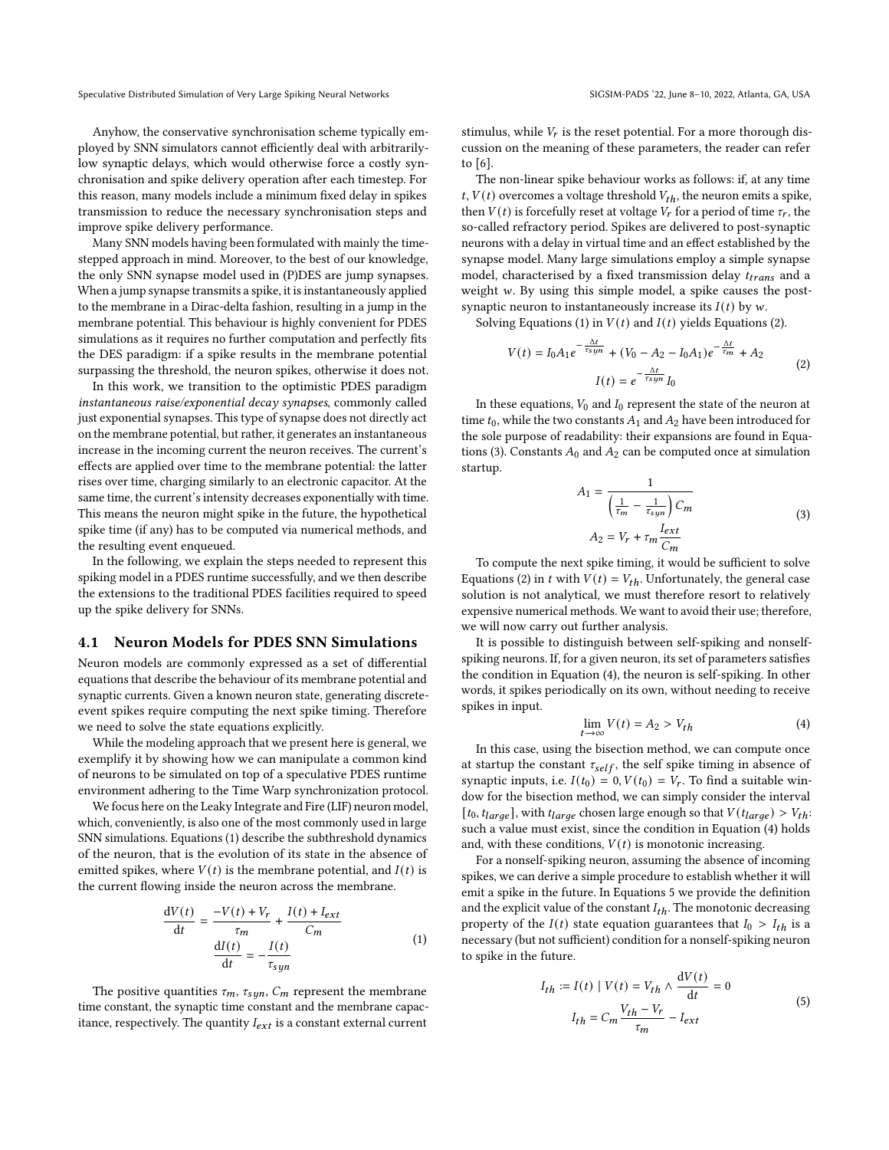Anyhow, the conservative synchronisation scheme typically employed by SNN simulators cannot efficiently deal with arbitrarilylow synaptic delays, which would otherwise force a costly synchronisation and spike delivery operation after each timestep. For this reason, many models include a minimum fixed delay in spikes transmission to reduce the necessary synchronisation steps and improve spike delivery performance.

Many SNN models having been formulated with mainly the timestepped approach in mind. Moreover, to the best of our knowledge, the only SNN synapse model used in (P)DES are jump synapses. When a jump synapse transmits a spike, it is instantaneously applied to the membrane in a Dirac-delta fashion, resulting in a jump in the membrane potential. This behaviour is highly convenient for PDES simulations as it requires no further computation and perfectly fits the DES paradigm: if a spike results in the membrane potential surpassing the threshold, the neuron spikes, otherwise it does not.

In this work, we transition to the optimistic PDES paradigm instantaneous raise/exponential decay synapses, commonly called just exponential synapses. This type of synapse does not directly act on the membrane potential, but rather, it generates an instantaneous increase in the incoming current the neuron receives. The current's effects are applied over time to the membrane potential: the latter rises over time, charging similarly to an electronic capacitor. At the same time, the current's intensity decreases exponentially with time. This means the neuron might spike in the future, the hypothetical spike time (if any) has to be computed via numerical methods, and the resulting event enqueued.

In the following, we explain the steps needed to represent this spiking model in a PDES runtime successfully, and we then describe the extensions to the traditional PDES facilities required to speed up the spike delivery for SNNs.

#### 4.1 Neuron Models for PDES SNN Simulations

Neuron models are commonly expressed as a set of differential equations that describe the behaviour of its membrane potential and synaptic currents. Given a known neuron state, generating discreteevent spikes require computing the next spike timing. Therefore we need to solve the state equations explicitly.

While the modeling approach that we present here is general, we exemplify it by showing how we can manipulate a common kind of neurons to be simulated on top of a speculative PDES runtime environment adhering to the Time Warp synchronization protocol.

We focus here on the Leaky Integrate and Fire (LIF) neuron model, which, conveniently, is also one of the most commonly used in large SNN simulations. Equations [\(1\)](#page-4-0) describe the subthreshold dynamics of the neuron, that is the evolution of its state in the absence of emitted spikes, where  $V(t)$  is the membrane potential, and  $I(t)$  is the current flowing inside the neuron across the membrane.

<span id="page-4-0"></span>
$$
\frac{dV(t)}{dt} = \frac{-V(t) + V_r}{\tau_m} + \frac{I(t) + I_{ext}}{C_m}
$$
\n
$$
\frac{dI(t)}{dt} = -\frac{I(t)}{\tau_{syn}}
$$
\n(1)

The positive quantities  $\tau_m$ ,  $\tau_{syn}$ ,  $C_m$  represent the membrane time constant, the synaptic time constant and the membrane capacitance, respectively. The quantity  $I_{ext}$  is a constant external current stimulus, while  $V_r$  is the reset potential. For a more thorough discussion on the meaning of these parameters, the reader can refer to [\[6\]](#page-10-0).

The non-linear spike behaviour works as follows: if, at any time  $t, V(t)$  overcomes a voltage threshold  $V_{th}$ , the neuron emits a spike, then  $V(t)$  is forcefully reset at voltage  $V_r$  for a period of time  $\tau_r$ , the so-called refractory period. Spikes are delivered to post-synaptic neurons with a delay in virtual time and an effect established by the synapse model. Many large simulations employ a simple synapse model, characterised by a fixed transmission delay  $t_{trans}$  and a weight  $w$ . By using this simple model, a spike causes the postsynaptic neuron to instantaneously increase its  $I(t)$  by w.

Solving Equations [\(1\)](#page-4-0) in  $V(t)$  and  $I(t)$  yields Equations [\(2\)](#page-4-1).

<span id="page-4-1"></span>
$$
V(t) = I_0 A_1 e^{-\frac{\Delta t}{\tau_{syn}}} + (V_0 - A_2 - I_0 A_1) e^{-\frac{\Delta t}{\tau_{m}}} + A_2
$$
  

$$
I(t) = e^{-\frac{\Delta t}{\tau_{syn}}} I_0
$$
 (2)

In these equations,  $V_0$  and  $I_0$  represent the state of the neuron at time  $t_0$ , while the two constants  $A_1$  and  $A_2$  have been introduced for the sole purpose of readability: their expansions are found in Equa-tions [\(3\)](#page-4-2). Constants  $A_0$  and  $A_2$  can be computed once at simulation startup.

<span id="page-4-2"></span>
$$
A_1 = \frac{1}{\left(\frac{1}{\tau_m} - \frac{1}{\tau_{syn}}\right)C_m}
$$
  

$$
A_2 = V_r + \tau_m \frac{I_{ext}}{C_m}
$$
 (3)

To compute the next spike timing, it would be sufficient to solve Equations [\(2\)](#page-4-1) in t with  $V(t) = V_{th}$ . Unfortunately, the general case solution is not analytical, we must therefore resort to relatively expensive numerical methods. We want to avoid their use; therefore, we will now carry out further analysis.

It is possible to distinguish between self-spiking and nonselfspiking neurons. If, for a given neuron, its set of parameters satisfies the condition in Equation [\(4\)](#page-4-3), the neuron is self-spiking. In other words, it spikes periodically on its own, without needing to receive spikes in input.

<span id="page-4-3"></span>
$$
\lim_{t \to \infty} V(t) = A_2 > V_{th} \tag{4}
$$

In this case, using the bisection method, we can compute once at startup the constant  $\tau_{self}$ , the self spike timing in absence of synaptic inputs, i.e.  $I(t_0) = 0$ ,  $V(t_0) = V_r$ . To find a suitable window for the bisection method, we can simply consider the interval [ $t_0$ ,  $t_{large}$ ], with  $t_{large}$  chosen large enough so that  $V(t_{large}) > V_{th}$ : such a value must exist, since the condition in Equation [\(4\)](#page-4-3) holds and, with these conditions,  ${\cal V}(t)$  is monotonic increasing.

For a nonself-spiking neuron, assuming the absence of incoming spikes, we can derive a simple procedure to establish whether it will emit a spike in the future. In Equations [5](#page-4-4) we provide the definition and the explicit value of the constant  $I_{th}$ . The monotonic decreasing property of the  $I(t)$  state equation guarantees that  $I_0 > I_{th}$  is a necessary (but not sufficient) condition for a nonself-spiking neuron to spike in the future.

<span id="page-4-4"></span>
$$
I_{th} := I(t) \mid V(t) = V_{th} \wedge \frac{dV(t)}{dt} = 0
$$
  

$$
I_{th} = C_m \frac{V_{th} - V_r}{\tau_m} - I_{ext}
$$
 (5)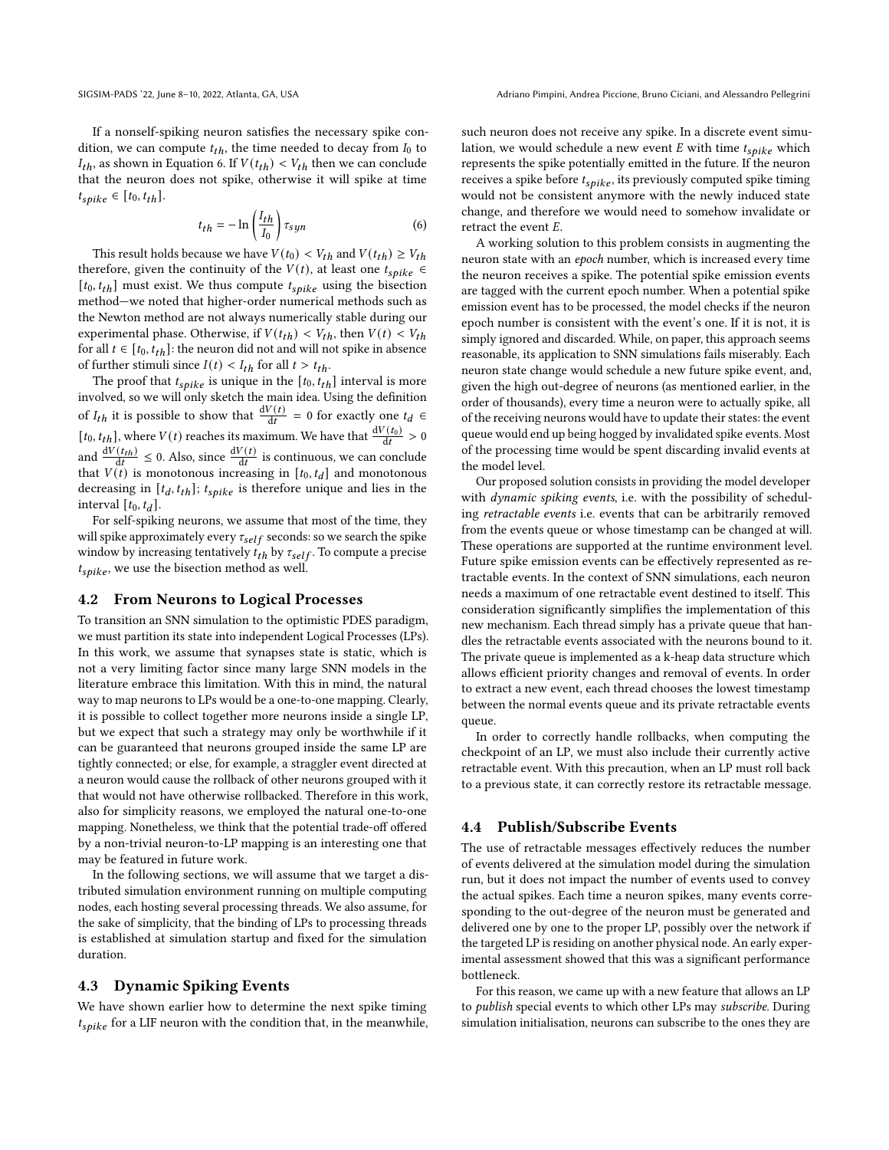If a nonself-spiking neuron satisfies the necessary spike condition, we can compute  $t_{th}$ , the time needed to decay from  $I_0$  to  $I_{th}$ , as shown in Equation [6.](#page-5-0) If  $V(t_{th}) < V_{th}$  then we can conclude that the neuron does not spike, otherwise it will spike at time  $t_{spike} \in [t_0, t_{th}].$ 

<span id="page-5-0"></span>
$$
t_{th} = -\ln\left(\frac{I_{th}}{I_0}\right)\tau_{syn} \tag{6}
$$

This result holds because we have  $V(t_0) < V_{th}$  and  $V(t_{th}) \geq V_{th}$ therefore, given the continuity of the  $V(t)$ , at least one  $t_{spike} \in$  $[t_0, t_{th}]$  must exist. We thus compute  $t_{spike}$  using the bisection method—we noted that higher-order numerical methods such as the Newton method are not always numerically stable during our experimental phase. Otherwise, if  $V(t_{th}) < V_{th}$ , then  $V(t) < V_{th}$ for all  $t \in [t_0, t_{th}]$ : the neuron did not and will not spike in absence of further stimuli since  $I(t) < I_{th}$  for all  $t > t_{th}$ .

The proof that  $t_{spike}$  is unique in the  $[t_0, t_{th}]$  interval is more involved, so we will only sketch the main idea. Using the definition of  $I_{th}$  it is possible to show that  $\frac{dV(t)}{dt} = 0$  for exactly one  $t_d \in$  $[t_0, t_{th}]$ , where  $V(t)$  reaches its maximum. We have that  $\frac{dV(t_0)}{dt} > 0$ and  $\frac{dV(t_{th})}{dt} \leq 0$ . Also, since  $\frac{dV(t)}{dt}$  is continuous, we can conclude that  $V(t)$  is monotonous increasing in  $[t_0, t_d]$  and monotonous decreasing in  $[t_d, t_{th}]$ ;  $t_{\textit{spike}}$  is therefore unique and lies in the interval  $[t_0, t_d]$ .

For self-spiking neurons, we assume that most of the time, they will spike approximately every  $\tau_{self}$  seconds: so we search the spike window by increasing tentatively  $t_{th}$  by  $\tau_{self}$ . To compute a precise  $t_{\textit{spike}}$ , we use the bisection method as well.

#### 4.2 From Neurons to Logical Processes

To transition an SNN simulation to the optimistic PDES paradigm, we must partition its state into independent Logical Processes (LPs). In this work, we assume that synapses state is static, which is not a very limiting factor since many large SNN models in the literature embrace this limitation. With this in mind, the natural way to map neurons to LPs would be a one-to-one mapping. Clearly, it is possible to collect together more neurons inside a single LP, but we expect that such a strategy may only be worthwhile if it can be guaranteed that neurons grouped inside the same LP are tightly connected; or else, for example, a straggler event directed at a neuron would cause the rollback of other neurons grouped with it that would not have otherwise rollbacked. Therefore in this work, also for simplicity reasons, we employed the natural one-to-one mapping. Nonetheless, we think that the potential trade-off offered by a non-trivial neuron-to-LP mapping is an interesting one that may be featured in future work.

In the following sections, we will assume that we target a distributed simulation environment running on multiple computing nodes, each hosting several processing threads. We also assume, for the sake of simplicity, that the binding of LPs to processing threads is established at simulation startup and fixed for the simulation duration.

#### 4.3 Dynamic Spiking Events

We have shown earlier how to determine the next spike timing  $t_{spike}$  for a LIF neuron with the condition that, in the meanwhile, such neuron does not receive any spike. In a discrete event simulation, we would schedule a new event  $E$  with time  $t_{spike}$  which represents the spike potentially emitted in the future. If the neuron receives a spike before  $t_{spike}$ , its previously computed spike timing would not be consistent anymore with the newly induced state change, and therefore we would need to somehow invalidate or retract the event  $E$ .

A working solution to this problem consists in augmenting the neuron state with an epoch number, which is increased every time the neuron receives a spike. The potential spike emission events are tagged with the current epoch number. When a potential spike emission event has to be processed, the model checks if the neuron epoch number is consistent with the event's one. If it is not, it is simply ignored and discarded. While, on paper, this approach seems reasonable, its application to SNN simulations fails miserably. Each neuron state change would schedule a new future spike event, and, given the high out-degree of neurons (as mentioned earlier, in the order of thousands), every time a neuron were to actually spike, all of the receiving neurons would have to update their states: the event queue would end up being hogged by invalidated spike events. Most of the processing time would be spent discarding invalid events at the model level.

Our proposed solution consists in providing the model developer with *dynamic spiking events*, i.e. with the possibility of scheduling retractable events i.e. events that can be arbitrarily removed from the events queue or whose timestamp can be changed at will. These operations are supported at the runtime environment level. Future spike emission events can be effectively represented as retractable events. In the context of SNN simulations, each neuron needs a maximum of one retractable event destined to itself. This consideration significantly simplifies the implementation of this new mechanism. Each thread simply has a private queue that handles the retractable events associated with the neurons bound to it. The private queue is implemented as a k-heap data structure which allows efficient priority changes and removal of events. In order to extract a new event, each thread chooses the lowest timestamp between the normal events queue and its private retractable events queue.

In order to correctly handle rollbacks, when computing the checkpoint of an LP, we must also include their currently active retractable event. With this precaution, when an LP must roll back to a previous state, it can correctly restore its retractable message.

#### 4.4 Publish/Subscribe Events

The use of retractable messages effectively reduces the number of events delivered at the simulation model during the simulation run, but it does not impact the number of events used to convey the actual spikes. Each time a neuron spikes, many events corresponding to the out-degree of the neuron must be generated and delivered one by one to the proper LP, possibly over the network if the targeted LP is residing on another physical node. An early experimental assessment showed that this was a significant performance bottleneck.

For this reason, we came up with a new feature that allows an LP to publish special events to which other LPs may subscribe. During simulation initialisation, neurons can subscribe to the ones they are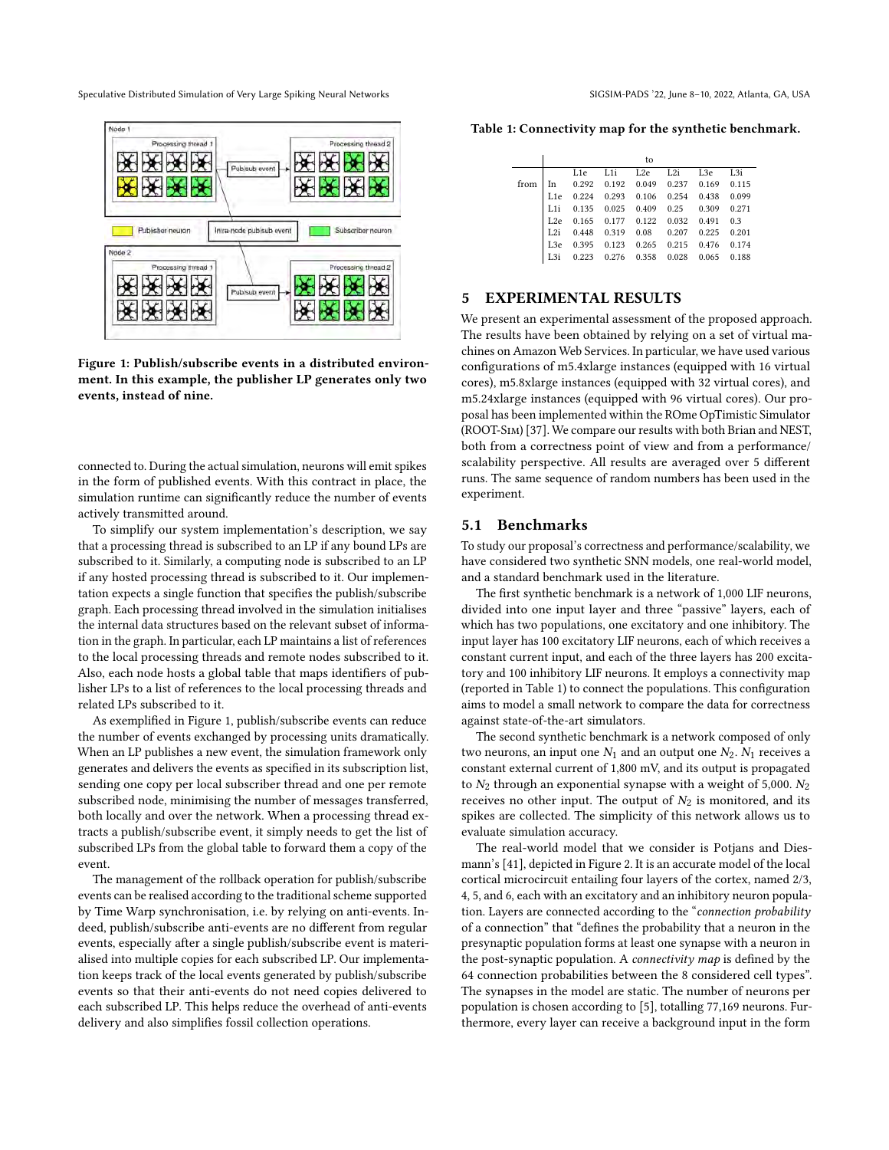<span id="page-6-1"></span>

Figure 1: Publish/subscribe events in a distributed environment. In this example, the publisher LP generates only two events, instead of nine.

connected to. During the actual simulation, neurons will emit spikes in the form of published events. With this contract in place, the simulation runtime can significantly reduce the number of events actively transmitted around.

To simplify our system implementation's description, we say that a processing thread is subscribed to an LP if any bound LPs are subscribed to it. Similarly, a computing node is subscribed to an LP if any hosted processing thread is subscribed to it. Our implementation expects a single function that specifies the publish/subscribe graph. Each processing thread involved in the simulation initialises the internal data structures based on the relevant subset of information in the graph. In particular, each LP maintains a list of references to the local processing threads and remote nodes subscribed to it. Also, each node hosts a global table that maps identifiers of publisher LPs to a list of references to the local processing threads and related LPs subscribed to it.

As exemplified in Figure [1,](#page-6-1) publish/subscribe events can reduce the number of events exchanged by processing units dramatically. When an LP publishes a new event, the simulation framework only generates and delivers the events as specified in its subscription list, sending one copy per local subscriber thread and one per remote subscribed node, minimising the number of messages transferred, both locally and over the network. When a processing thread extracts a publish/subscribe event, it simply needs to get the list of subscribed LPs from the global table to forward them a copy of the event.

The management of the rollback operation for publish/subscribe events can be realised according to the traditional scheme supported by Time Warp synchronisation, i.e. by relying on anti-events. Indeed, publish/subscribe anti-events are no different from regular events, especially after a single publish/subscribe event is materialised into multiple copies for each subscribed LP. Our implementation keeps track of the local events generated by publish/subscribe events so that their anti-events do not need copies delivered to each subscribed LP. This helps reduce the overhead of anti-events delivery and also simplifies fossil collection operations.

<span id="page-6-2"></span>Table 1: Connectivity map for the synthetic benchmark.

|      |                 |     |                                                                     | to |                     |  |
|------|-----------------|-----|---------------------------------------------------------------------|----|---------------------|--|
|      |                 | L1e |                                                                     |    | L1i L2e L2i L3e L3i |  |
| from |                 |     | In 0.292 0.192 0.049 0.237 0.169 0.115                              |    |                     |  |
|      | L1e             |     | 0.224 0.293 0.106 0.254 0.438 0.099                                 |    |                     |  |
|      | $L1$ i          |     | 0.135 0.025 0.409 0.25 0.309 0.271                                  |    |                     |  |
|      |                 |     | L2e 0.165 0.177 0.122 0.032 0.491 0.3                               |    |                     |  |
|      |                 |     | L2i 0.448 0.319 0.08 0.207 0.225 0.201                              |    |                     |  |
|      | L3e             |     | 0.395 0.123 0.265 0.215 0.476 0.174                                 |    |                     |  |
|      | L <sub>3i</sub> |     | $0.223 \quad 0.276 \quad 0.358 \quad 0.028 \quad 0.065 \quad 0.188$ |    |                     |  |
|      |                 |     |                                                                     |    |                     |  |

# <span id="page-6-0"></span>5 EXPERIMENTAL RESULTS

We present an experimental assessment of the proposed approach. The results have been obtained by relying on a set of virtual machines on Amazon Web Services. In particular, we have used various configurations of m5.4xlarge instances (equipped with 16 virtual cores), m5.8xlarge instances (equipped with 32 virtual cores), and m5.24xlarge instances (equipped with 96 virtual cores). Our proposal has been implemented within the ROme OpTimistic Simulator (ROOT-Sim) [\[37\]](#page-11-19). We compare our results with both Brian and NEST, both from a correctness point of view and from a performance/ scalability perspective. All results are averaged over 5 different runs. The same sequence of random numbers has been used in the experiment.

#### 5.1 Benchmarks

To study our proposal's correctness and performance/scalability, we have considered two synthetic SNN models, one real-world model, and a standard benchmark used in the literature.

The first synthetic benchmark is a network of 1,000 LIF neurons, divided into one input layer and three "passive" layers, each of which has two populations, one excitatory and one inhibitory. The input layer has 100 excitatory LIF neurons, each of which receives a constant current input, and each of the three layers has 200 excitatory and 100 inhibitory LIF neurons. It employs a connectivity map (reported in Table [1\)](#page-6-2) to connect the populations. This configuration aims to model a small network to compare the data for correctness against state-of-the-art simulators.

The second synthetic benchmark is a network composed of only two neurons, an input one  $N_1$  and an output one  $N_2$ .  $N_1$  receives a constant external current of 1,800 mV, and its output is propagated to  $N_2$  through an exponential synapse with a weight of 5,000.  $N_2$ receives no other input. The output of  $N_2$  is monitored, and its spikes are collected. The simplicity of this network allows us to evaluate simulation accuracy.

The real-world model that we consider is Potjans and Diesmann's [\[41\]](#page-11-33), depicted in Figure [2.](#page-7-0) It is an accurate model of the local cortical microcircuit entailing four layers of the cortex, named 2/3, 4, 5, and 6, each with an excitatory and an inhibitory neuron population. Layers are connected according to the "connection probability of a connection" that "defines the probability that a neuron in the presynaptic population forms at least one synapse with a neuron in the post-synaptic population. A connectivity map is defined by the 64 connection probabilities between the 8 considered cell types". The synapses in the model are static. The number of neurons per population is chosen according to [\[5\]](#page-10-13), totalling 77,169 neurons. Furthermore, every layer can receive a background input in the form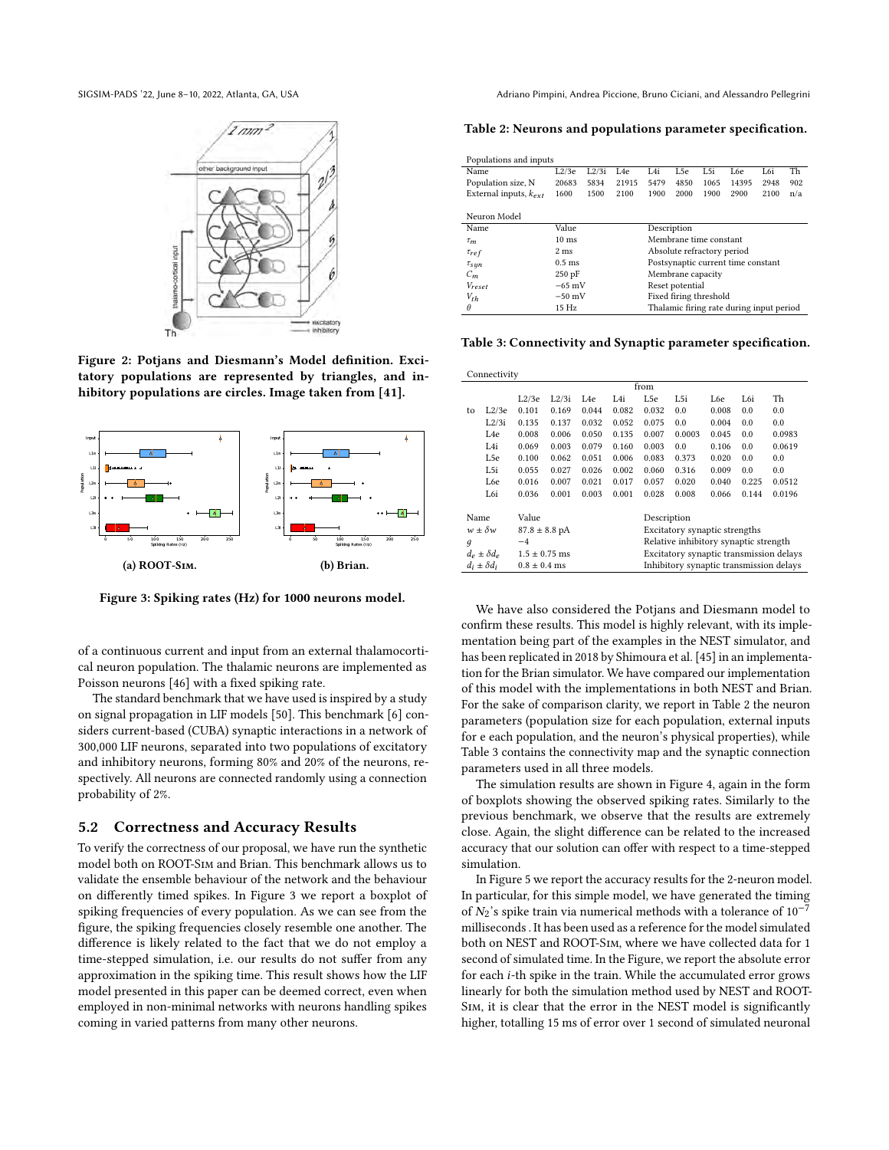<span id="page-7-0"></span>



Figure 2: Potjans and Diesmann's Model definition. Excitatory populations are represented by triangles, and inhibitory populations are circles. Image taken from [\[41\]](#page-11-33).

<span id="page-7-1"></span>

Figure 3: Spiking rates (Hz) for 1000 neurons model.

of a continuous current and input from an external thalamocortical neuron population. The thalamic neurons are implemented as Poisson neurons [\[46\]](#page-11-34) with a fixed spiking rate.

The standard benchmark that we have used is inspired by a study on signal propagation in LIF models [\[50\]](#page-11-35). This benchmark [\[6\]](#page-10-0) considers current-based (CUBA) synaptic interactions in a network of 300,000 LIF neurons, separated into two populations of excitatory and inhibitory neurons, forming 80% and 20% of the neurons, respectively. All neurons are connected randomly using a connection probability of 2%.

#### 5.2 Correctness and Accuracy Results

To verify the correctness of our proposal, we have run the synthetic model both on ROOT-Sim and Brian. This benchmark allows us to validate the ensemble behaviour of the network and the behaviour on differently timed spikes. In Figure [3](#page-7-1) we report a boxplot of spiking frequencies of every population. As we can see from the figure, the spiking frequencies closely resemble one another. The difference is likely related to the fact that we do not employ a time-stepped simulation, i.e. our results do not suffer from any approximation in the spiking time. This result shows how the LIF model presented in this paper can be deemed correct, even when employed in non-minimal networks with neurons handling spikes coming in varied patterns from many other neurons.

SIGSIM-PADS '22, June 8-10, 2022, Atlanta, GA, USA Adriano Pimpini, Andrea Piccione, Bruno Ciciani, and Alessandro Pellegrini

<span id="page-7-2"></span>Table 2: Neurons and populations parameter specification.

| Populations and inputs     |                 |       |                                          |                                    |      |      |       |      |     |  |
|----------------------------|-----------------|-------|------------------------------------------|------------------------------------|------|------|-------|------|-----|--|
| Name                       | L2/3e           | L2/3i | L <sub>4e</sub>                          | L4i                                | L5e  | L5i  | L6e   | L6i  | Th  |  |
| Population size, N         | 20683           | 5834  | 21915                                    | 5479                               | 4850 | 1065 | 14395 | 2948 | 902 |  |
| External inputs, $k_{ext}$ | 1600            | 1500  | 2100                                     | 1900                               | 2000 | 1900 | 2900  | 2100 | n/a |  |
|                            |                 |       |                                          |                                    |      |      |       |      |     |  |
| Neuron Model               |                 |       |                                          |                                    |      |      |       |      |     |  |
| Name                       | Value           |       |                                          | Description                        |      |      |       |      |     |  |
| $\tau_m$                   | $10 \text{ ms}$ |       |                                          | Membrane time constant             |      |      |       |      |     |  |
| $\tau_{ref}$               | $2 \text{ ms}$  |       |                                          | Absolute refractory period         |      |      |       |      |     |  |
| $\tau_{sun}$               | $0.5$ ms        |       |                                          | Postsynaptic current time constant |      |      |       |      |     |  |
| $C_m$                      | $250$ pF        |       |                                          | Membrane capacity                  |      |      |       |      |     |  |
| Vreset                     | $-65$ mV        |       |                                          | Reset potential                    |      |      |       |      |     |  |
| $V_{th}$                   | $-50$ mV        |       |                                          | Fixed firing threshold             |      |      |       |      |     |  |
| θ                          | 15Hz            |       | Thalamic firing rate during input period |                                    |      |      |       |      |     |  |

<span id="page-7-3"></span>Table 3: Connectivity and Synaptic parameter specification.

| Connectivity     |                                           |                           |       |                                         |       |                                       |        |       |       |        |  |
|------------------|-------------------------------------------|---------------------------|-------|-----------------------------------------|-------|---------------------------------------|--------|-------|-------|--------|--|
| from             |                                           |                           |       |                                         |       |                                       |        |       |       |        |  |
|                  |                                           | L2/3e                     | L2/3i | L4e                                     | L4i   | L5e                                   | L5i    | L6e   | L6i   | Th     |  |
| to               | L2/3e                                     | 0.101                     | 0.169 | 0.044                                   | 0.082 | 0.032                                 | 0.0    | 0.008 | 0.0   | 0.0    |  |
|                  | L2/3i                                     | 0.135                     | 0.137 | 0.032                                   | 0.052 | 0.075                                 | 0.0    | 0.004 | 0.0   | 0.0    |  |
|                  | L4e                                       | 0.008                     | 0.006 | 0.050                                   | 0.135 | 0.007                                 | 0.0003 | 0.045 | 0.0   | 0.0983 |  |
|                  | L4i                                       | 0.069                     | 0.003 | 0.079                                   | 0.160 | 0.003                                 | 0.0    | 0.106 | 0.0   | 0.0619 |  |
|                  | L5e                                       | 0.100                     | 0.062 | 0.051                                   | 0.006 | 0.083                                 | 0.373  | 0.020 | 0.0   | 0.0    |  |
|                  | L5i                                       | 0.055                     | 0.027 | 0.026                                   | 0.002 | 0.060                                 | 0.316  | 0.009 | 0.0   | 0.0    |  |
|                  | L6e                                       | 0.016                     | 0.007 | 0.021                                   | 0.017 | 0.057                                 | 0.020  | 0.040 | 0.225 | 0.0512 |  |
|                  | L6i                                       | 0.036                     | 0.001 | 0.003                                   | 0.001 | 0.028                                 | 0.008  | 0.066 | 0.144 | 0.0196 |  |
|                  |                                           |                           |       |                                         |       |                                       |        |       |       |        |  |
| Name             |                                           | Value                     |       |                                         |       | Description                           |        |       |       |        |  |
| $w \pm \delta w$ |                                           | $87.8 \pm 8.8 \text{ pA}$ |       |                                         |       | Excitatory synaptic strengths         |        |       |       |        |  |
| $\boldsymbol{q}$ |                                           | $-4$                      |       |                                         |       | Relative inhibitory synaptic strength |        |       |       |        |  |
|                  | $d_e \pm \delta d_e$<br>$1.5 \pm 0.75$ ms |                           |       | Excitatory synaptic transmission delays |       |                                       |        |       |       |        |  |
|                  | $d_i \pm \delta d_i$                      | $0.8 \pm 0.4$ ms          |       | Inhibitory synaptic transmission delays |       |                                       |        |       |       |        |  |
|                  |                                           |                           |       |                                         |       |                                       |        |       |       |        |  |

We have also considered the Potjans and Diesmann model to confirm these results. This model is highly relevant, with its implementation being part of the examples in the NEST simulator, and has been replicated in 2018 by Shimoura et al. [\[45\]](#page-11-36) in an implementation for the Brian simulator. We have compared our implementation of this model with the implementations in both NEST and Brian. For the sake of comparison clarity, we report in Table [2](#page-7-2) the neuron parameters (population size for each population, external inputs for e each population, and the neuron's physical properties), while Table [3](#page-7-3) contains the connectivity map and the synaptic connection parameters used in all three models.

The simulation results are shown in Figure [4,](#page-8-0) again in the form of boxplots showing the observed spiking rates. Similarly to the previous benchmark, we observe that the results are extremely close. Again, the slight difference can be related to the increased accuracy that our solution can offer with respect to a time-stepped simulation.

In Figure [5](#page-8-1) we report the accuracy results for the 2-neuron model. In particular, for this simple model, we have generated the timing of  $N_2$ 's spike train via numerical methods with a tolerance of 10<sup>-7</sup> milliseconds . It has been used as a reference for the model simulated both on NEST and ROOT-Sim, where we have collected data for 1 second of simulated time. In the Figure, we report the absolute error for each *i*-th spike in the train. While the accumulated error grows linearly for both the simulation method used by NEST and ROOT-Sim, it is clear that the error in the NEST model is significantly higher, totalling 15 ms of error over 1 second of simulated neuronal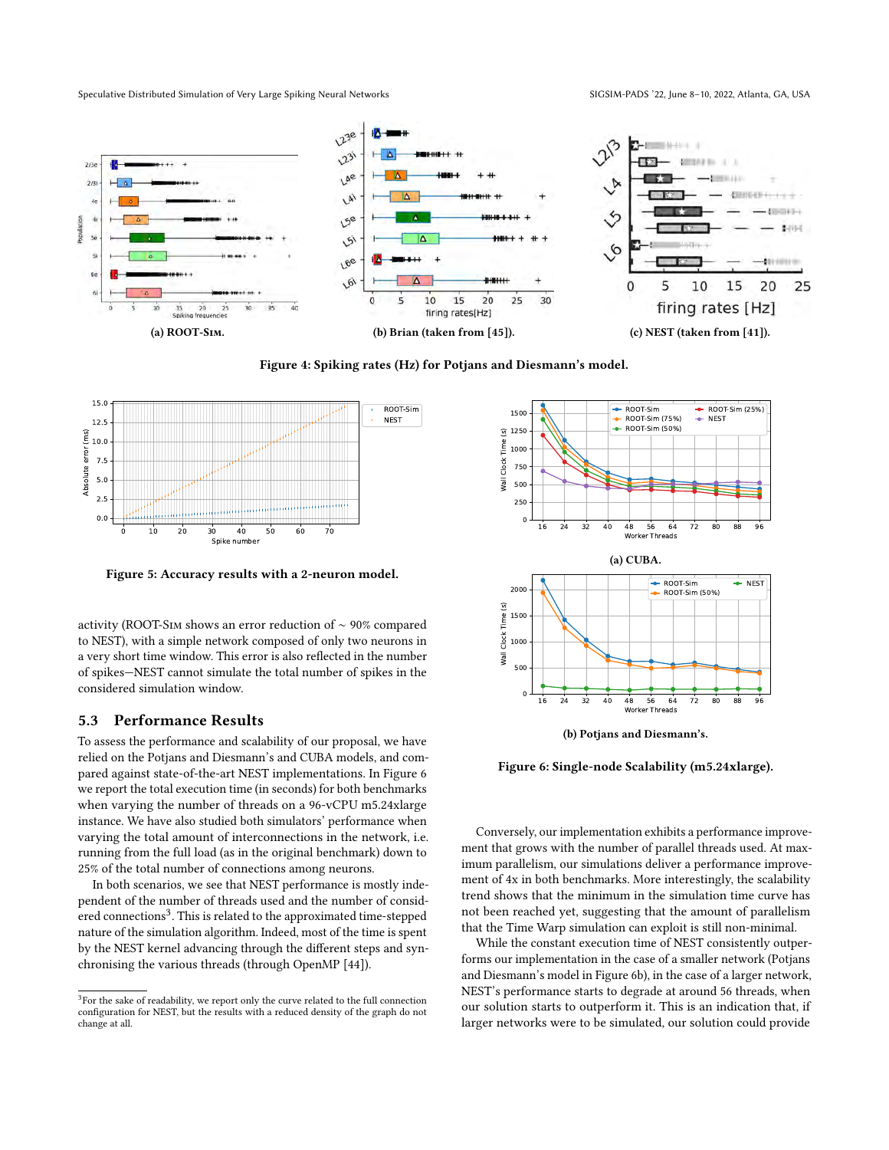<span id="page-8-0"></span>

Figure 4: Spiking rates (Hz) for Potjans and Diesmann's model.

<span id="page-8-1"></span>

Figure 5: Accuracy results with a 2-neuron model.

activity (ROOT-Sim shows an error reduction of ∼ 90% compared to NEST), with a simple network composed of only two neurons in a very short time window. This error is also reflected in the number of spikes—NEST cannot simulate the total number of spikes in the considered simulation window.

## 5.3 Performance Results

To assess the performance and scalability of our proposal, we have relied on the Potjans and Diesmann's and CUBA models, and compared against state-of-the-art NEST implementations. In Figure [6](#page-8-2) we report the total execution time (in seconds) for both benchmarks when varying the number of threads on a 96-vCPU m5.24xlarge instance. We have also studied both simulators' performance when varying the total amount of interconnections in the network, i.e. running from the full load (as in the original benchmark) down to 25% of the total number of connections among neurons.

In both scenarios, we see that NEST performance is mostly independent of the number of threads used and the number of consid- $\rm{r}$  red connections $\rm{^3}$  $\rm{^3}$  $\rm{^3}$  . This is related to the approximated time-stepped nature of the simulation algorithm. Indeed, most of the time is spent by the NEST kernel advancing through the different steps and synchronising the various threads (through OpenMP [\[44\]](#page-11-37)).

<span id="page-8-2"></span>



Figure 6: Single-node Scalability (m5.24xlarge).

Conversely, our implementation exhibits a performance improvement that grows with the number of parallel threads used. At maximum parallelism, our simulations deliver a performance improvement of 4x in both benchmarks. More interestingly, the scalability trend shows that the minimum in the simulation time curve has not been reached yet, suggesting that the amount of parallelism that the Time Warp simulation can exploit is still non-minimal.

While the constant execution time of NEST consistently outperforms our implementation in the case of a smaller network (Potjans and Diesmann's model in Figure [6b\)](#page-8-2), in the case of a larger network, NEST's performance starts to degrade at around 56 threads, when our solution starts to outperform it. This is an indication that, if larger networks were to be simulated, our solution could provide

<span id="page-8-3"></span> $\rm{^{3}F}$ or the sake of readability, we report only the curve related to the full connection configuration for NEST, but the results with a reduced density of the graph do not change at all.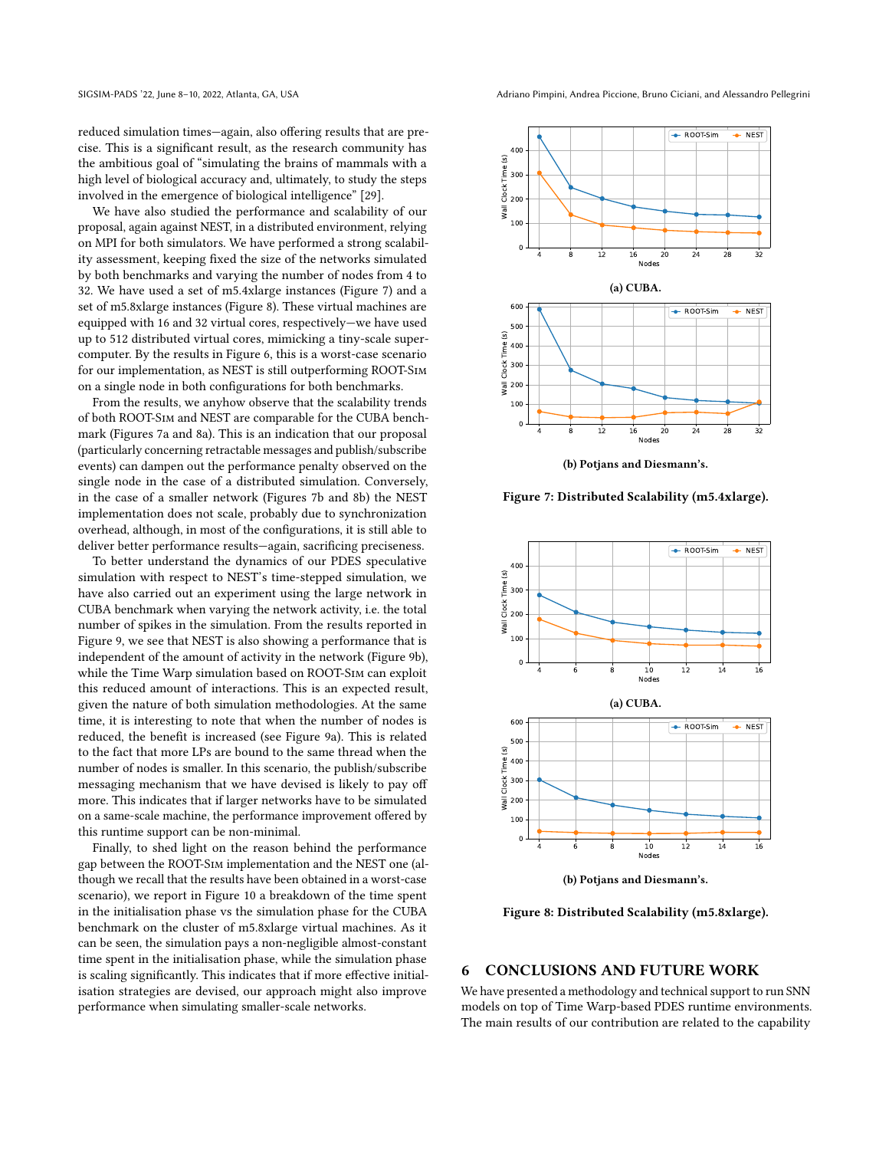reduced simulation times—again, also offering results that are precise. This is a significant result, as the research community has the ambitious goal of "simulating the brains of mammals with a high level of biological accuracy and, ultimately, to study the steps involved in the emergence of biological intelligence" [\[29\]](#page-11-38).

We have also studied the performance and scalability of our proposal, again against NEST, in a distributed environment, relying on MPI for both simulators. We have performed a strong scalability assessment, keeping fixed the size of the networks simulated by both benchmarks and varying the number of nodes from 4 to 32. We have used a set of m5.4xlarge instances (Figure [7\)](#page-9-0) and a set of m5.8xlarge instances (Figure [8\)](#page-9-1). These virtual machines are equipped with 16 and 32 virtual cores, respectively—we have used up to 512 distributed virtual cores, mimicking a tiny-scale supercomputer. By the results in Figure [6,](#page-8-2) this is a worst-case scenario for our implementation, as NEST is still outperforming ROOT-Sim on a single node in both configurations for both benchmarks.

From the results, we anyhow observe that the scalability trends of both ROOT-Sim and NEST are comparable for the CUBA benchmark (Figures [7a](#page-9-0) and [8a\)](#page-9-1). This is an indication that our proposal (particularly concerning retractable messages and publish/subscribe events) can dampen out the performance penalty observed on the single node in the case of a distributed simulation. Conversely, in the case of a smaller network (Figures [7b](#page-9-0) and [8b\)](#page-9-1) the NEST implementation does not scale, probably due to synchronization overhead, although, in most of the configurations, it is still able to deliver better performance results—again, sacrificing preciseness.

To better understand the dynamics of our PDES speculative simulation with respect to NEST's time-stepped simulation, we have also carried out an experiment using the large network in CUBA benchmark when varying the network activity, i.e. the total number of spikes in the simulation. From the results reported in Figure [9,](#page-10-14) we see that NEST is also showing a performance that is independent of the amount of activity in the network (Figure [9b\)](#page-10-14), while the Time Warp simulation based on ROOT-Sim can exploit this reduced amount of interactions. This is an expected result, given the nature of both simulation methodologies. At the same time, it is interesting to note that when the number of nodes is reduced, the benefit is increased (see Figure [9a\)](#page-10-14). This is related to the fact that more LPs are bound to the same thread when the number of nodes is smaller. In this scenario, the publish/subscribe messaging mechanism that we have devised is likely to pay off more. This indicates that if larger networks have to be simulated on a same-scale machine, the performance improvement offered by this runtime support can be non-minimal.

Finally, to shed light on the reason behind the performance gap between the ROOT-Sim implementation and the NEST one (although we recall that the results have been obtained in a worst-case scenario), we report in Figure [10](#page-10-15) a breakdown of the time spent in the initialisation phase vs the simulation phase for the CUBA benchmark on the cluster of m5.8xlarge virtual machines. As it can be seen, the simulation pays a non-negligible almost-constant time spent in the initialisation phase, while the simulation phase is scaling significantly. This indicates that if more effective initialisation strategies are devised, our approach might also improve performance when simulating smaller-scale networks.



<span id="page-9-0"></span>

(b) Potjans and Diesmann's.

Figure 7: Distributed Scalability (m5.4xlarge).

<span id="page-9-1"></span>

(b) Potjans and Diesmann's.

Figure 8: Distributed Scalability (m5.8xlarge).

# 6 CONCLUSIONS AND FUTURE WORK

We have presented a methodology and technical support to run SNN models on top of Time Warp-based PDES runtime environments. The main results of our contribution are related to the capability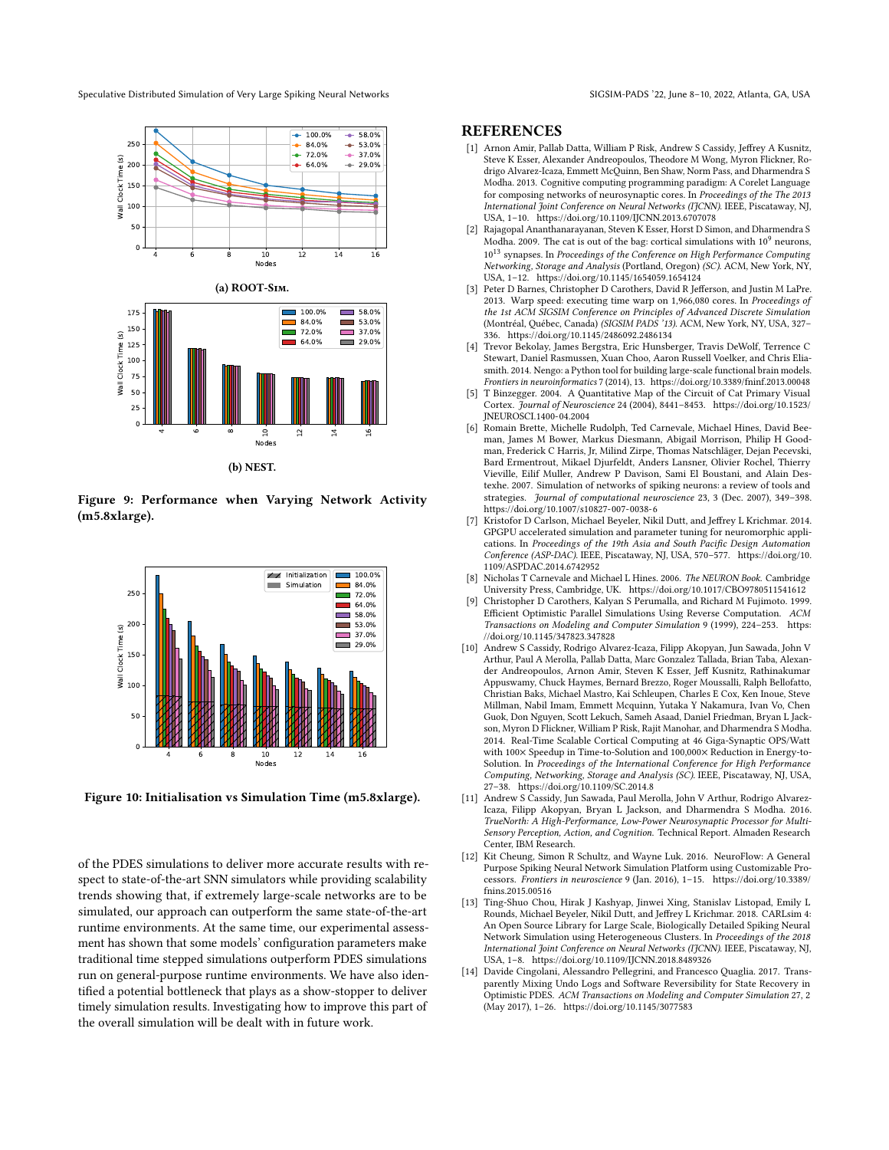<span id="page-10-14"></span>

Figure 9: Performance when Varying Network Activity (m5.8xlarge).

<span id="page-10-15"></span>

Figure 10: Initialisation vs Simulation Time (m5.8xlarge).

of the PDES simulations to deliver more accurate results with respect to state-of-the-art SNN simulators while providing scalability trends showing that, if extremely large-scale networks are to be simulated, our approach can outperform the same state-of-the-art runtime environments. At the same time, our experimental assessment has shown that some models' configuration parameters make traditional time stepped simulations outperform PDES simulations run on general-purpose runtime environments. We have also identified a potential bottleneck that plays as a show-stopper to deliver timely simulation results. Investigating how to improve this part of the overall simulation will be dealt with in future work.

## **REFERENCES**

- <span id="page-10-9"></span>[1] Arnon Amir, Pallab Datta, William P Risk, Andrew S Cassidy, Jeffrey A Kusnitz, Steve K Esser, Alexander Andreopoulos, Theodore M Wong, Myron Flickner, Rodrigo Alvarez-Icaza, Emmett McQuinn, Ben Shaw, Norm Pass, and Dharmendra S Modha. 2013. Cognitive computing programming paradigm: A Corelet Language for composing networks of neurosynaptic cores. In Proceedings of the The 2013 International Joint Conference on Neural Networks (IJCNN). IEEE, Piscataway, NJ, USA, 1–10.<https://doi.org/10.1109/IJCNN.2013.6707078>
- <span id="page-10-1"></span>Rajagopal Ananthanarayanan, Steven K Esser, Horst D Simon, and Dharmendra S Modha. 2009. The cat is out of the bag: cortical simulations with  $10^9$  neurons,  $10^{13}$  synapses. In Proceedings of the Conference on High Performance Computing Networking, Storage and Analysis (Portland, Oregon) (SC). ACM, New York, NY, USA, 1–12.<https://doi.org/10.1145/1654059.1654124>
- <span id="page-10-6"></span>[3] Peter D Barnes, Christopher D Carothers, David R Jefferson, and Justin M LaPre. 2013. Warp speed: executing time warp on 1,966,080 cores. In Proceedings of the 1st ACM SIGSIM Conference on Principles of Advanced Discrete Simulation (Montréal, Québec, Canada) (SIGSIM PADS '13). ACM, New York, NY, USA, 327– 336.<https://doi.org/10.1145/2486092.2486134>
- <span id="page-10-2"></span>[4] Trevor Bekolay, James Bergstra, Eric Hunsberger, Travis DeWolf, Terrence C Stewart, Daniel Rasmussen, Xuan Choo, Aaron Russell Voelker, and Chris Eliasmith. 2014. Nengo: a Python tool for building large-scale functional brain models. Frontiers in neuroinformatics 7 (2014), 13.<https://doi.org/10.3389/fninf.2013.00048>
- <span id="page-10-13"></span>[5] T Binzegger. 2004. A Quantitative Map of the Circuit of Cat Primary Visual Cortex. Journal of Neuroscience 24 (2004), 8441–8453. [https://doi.org/10.1523/](https://doi.org/10.1523/JNEUROSCI.1400-04.2004) [JNEUROSCI.1400-04.2004](https://doi.org/10.1523/JNEUROSCI.1400-04.2004)
- <span id="page-10-0"></span>[6] Romain Brette, Michelle Rudolph, Ted Carnevale, Michael Hines, David Beeman, James M Bower, Markus Diesmann, Abigail Morrison, Philip H Goodman, Frederick C Harris, Jr, Milind Zirpe, Thomas Natschläger, Dejan Pecevski, Bard Ermentrout, Mikael Djurfeldt, Anders Lansner, Olivier Rochel, Thierry Vieville, Eilif Muller, Andrew P Davison, Sami El Boustani, and Alain Destexhe. 2007. Simulation of networks of spiking neurons: a review of tools and strategies. Journal of computational neuroscience 23, 3 (Dec. 2007), 349–398. <https://doi.org/10.1007/s10827-007-0038-6>
- <span id="page-10-3"></span>Kristofor D Carlson, Michael Beyeler, Nikil Dutt, and Jeffrey L Krichmar. 2014. GPGPU accelerated simulation and parameter tuning for neuromorphic applications. In Proceedings of the 19th Asia and South Pacific Design Automation Conference (ASP-DAC). IEEE, Piscataway, NJ, USA, 570–577. [https://doi.org/10.](https://doi.org/10.1109/ASPDAC.2014.6742952) [1109/ASPDAC.2014.6742952](https://doi.org/10.1109/ASPDAC.2014.6742952)
- <span id="page-10-12"></span>Nicholas T Carnevale and Michael L Hines. 2006. The NEURON Book. Cambridge University Press, Cambridge, UK.<https://doi.org/10.1017/CBO9780511541612>
- <span id="page-10-7"></span>[9] Christopher D Carothers, Kalyan S Perumalla, and Richard M Fujimoto. 1999. Efficient Optimistic Parallel Simulations Using Reverse Computation. ACM Transactions on Modeling and Computer Simulation 9 (1999), 224–253. [https:](https://doi.org/10.1145/347823.347828) [//doi.org/10.1145/347823.347828](https://doi.org/10.1145/347823.347828)
- <span id="page-10-10"></span>[10] Andrew S Cassidy, Rodrigo Alvarez-Icaza, Filipp Akopyan, Jun Sawada, John V Arthur, Paul A Merolla, Pallab Datta, Marc Gonzalez Tallada, Brian Taba, Alexander Andreopoulos, Arnon Amir, Steven K Esser, Jeff Kusnitz, Rathinakumar Appuswamy, Chuck Haymes, Bernard Brezzo, Roger Moussalli, Ralph Bellofatto, Christian Baks, Michael Mastro, Kai Schleupen, Charles E Cox, Ken Inoue, Steve Millman, Nabil Imam, Emmett Mcquinn, Yutaka Y Nakamura, Ivan Vo, Chen Guok, Don Nguyen, Scott Lekuch, Sameh Asaad, Daniel Friedman, Bryan L Jackson, Myron D Flickner, William P Risk, Rajit Manohar, and Dharmendra S Modha. 2014. Real-Time Scalable Cortical Computing at 46 Giga-Synaptic OPS/Watt with 100× Speedup in Time-to-Solution and 100,000× Reduction in Energy-to-Solution. In Proceedings of the International Conference for High Performance Computing, Networking, Storage and Analysis (SC). IEEE, Piscataway, NJ, USA, 27–38.<https://doi.org/10.1109/SC.2014.8>
- <span id="page-10-11"></span>[11] Andrew S Cassidy, Jun Sawada, Paul Merolla, John V Arthur, Rodrigo Alvarez-Icaza, Filipp Akopyan, Bryan L Jackson, and Dharmendra S Modha. 2016. TrueNorth: A High-Performance, Low-Power Neurosynaptic Processor for Multi-Sensory Perception, Action, and Cognition. Technical Report. Almaden Research Center, IBM Research.
- <span id="page-10-5"></span>[12] Kit Cheung, Simon R Schultz, and Wayne Luk. 2016. NeuroFlow: A General Purpose Spiking Neural Network Simulation Platform using Customizable Processors. Frontiers in neuroscience 9 (Jan. 2016), 1–15. [https://doi.org/10.3389/](https://doi.org/10.3389/fnins.2015.00516) [fnins.2015.00516](https://doi.org/10.3389/fnins.2015.00516)
- <span id="page-10-4"></span>[13] Ting-Shuo Chou, Hirak J Kashyap, Jinwei Xing, Stanislav Listopad, Emily L Rounds, Michael Beyeler, Nikil Dutt, and Jeffrey L Krichmar. 2018. CARLsim 4: An Open Source Library for Large Scale, Biologically Detailed Spiking Neural Network Simulation using Heterogeneous Clusters. In Proceedings of the 2018 International Joint Conference on Neural Networks (IJCNN). IEEE, Piscataway, NJ, USA, 1–8.<https://doi.org/10.1109/IJCNN.2018.8489326>
- <span id="page-10-8"></span>[14] Davide Cingolani, Alessandro Pellegrini, and Francesco Quaglia. 2017. Transparently Mixing Undo Logs and Software Reversibility for State Recovery in Optimistic PDES. ACM Transactions on Modeling and Computer Simulation 27, 2 (May 2017), 1–26.<https://doi.org/10.1145/3077583>